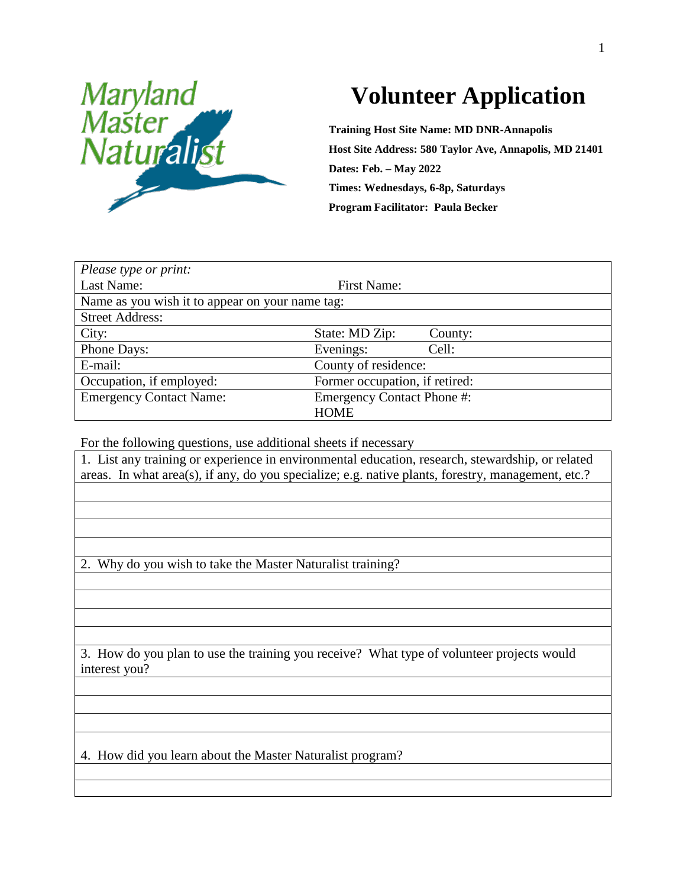

## **Volunteer Application**

**Training Host Site Name: MD DNR-Annapolis Host Site Address: 580 Taylor Ave, Annapolis, MD 21401 Dates: Feb. – May 2022 Times: Wednesdays, 6-8p, Saturdays Program Facilitator: Paula Becker**

| Please type or print:                           |                                   |         |  |  |
|-------------------------------------------------|-----------------------------------|---------|--|--|
| Last Name:                                      | First Name:                       |         |  |  |
| Name as you wish it to appear on your name tag: |                                   |         |  |  |
| <b>Street Address:</b>                          |                                   |         |  |  |
| City:                                           | State: MD Zip:                    | County: |  |  |
| Phone Days:                                     | Evenings:                         | Cell:   |  |  |
| E-mail:                                         | County of residence:              |         |  |  |
| Occupation, if employed:                        | Former occupation, if retired:    |         |  |  |
| <b>Emergency Contact Name:</b>                  | <b>Emergency Contact Phone #:</b> |         |  |  |
|                                                 | <b>HOME</b>                       |         |  |  |

For the following questions, use additional sheets if necessary

1. List any training or experience in environmental education, research, stewardship, or related areas. In what area(s), if any, do you specialize; e.g. native plants, forestry, management, etc.?

2. Why do you wish to take the Master Naturalist training?

3. How do you plan to use the training you receive? What type of volunteer projects would interest you?

4. How did you learn about the Master Naturalist program?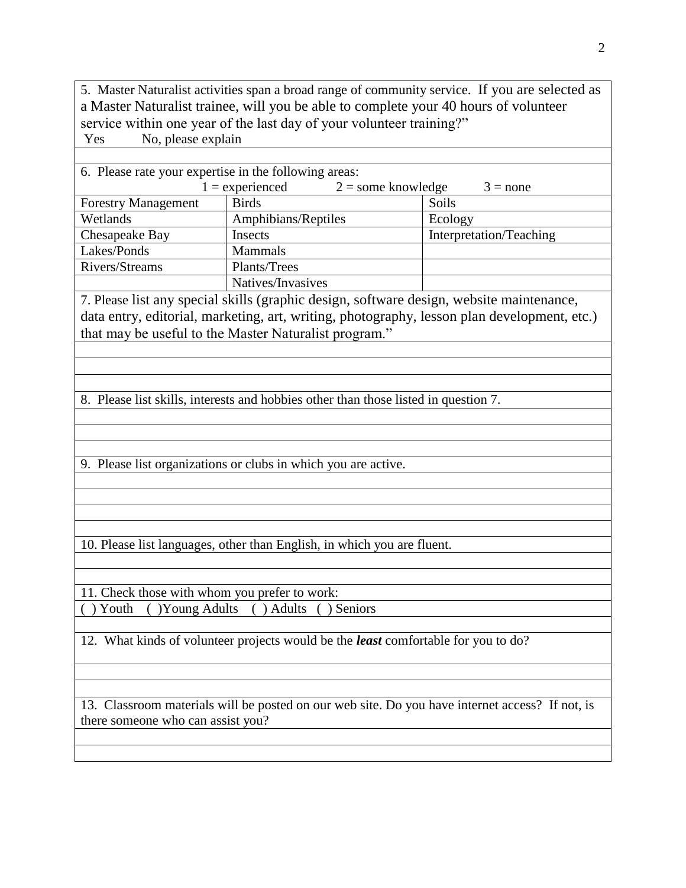5. Master Naturalist activities span a broad range of community service. If you are selected as a Master Naturalist trainee, will you be able to complete your 40 hours of volunteer service within one year of the last day of your volunteer training?" Yes No, please explain

| 6. Please rate your expertise in the following areas:                                       |                     |                         |  |  |
|---------------------------------------------------------------------------------------------|---------------------|-------------------------|--|--|
| $1 =$ experienced<br>$2 =$ some knowledge<br>$3 = none$                                     |                     |                         |  |  |
| <b>Forestry Management</b>                                                                  | <b>Birds</b>        | Soils                   |  |  |
| Wetlands                                                                                    | Amphibians/Reptiles | Ecology                 |  |  |
| Chesapeake Bay                                                                              | Insects             | Interpretation/Teaching |  |  |
| Lakes/Ponds                                                                                 | <b>Mammals</b>      |                         |  |  |
| Rivers/Streams                                                                              | Plants/Trees        |                         |  |  |
|                                                                                             | Natives/Invasives   |                         |  |  |
| 7. Please list any special skills (graphic design, software design, website maintenance,    |                     |                         |  |  |
| data entry, editorial, marketing, art, writing, photography, lesson plan development, etc.) |                     |                         |  |  |
| that may be useful to the Master Naturalist program."                                       |                     |                         |  |  |
|                                                                                             |                     |                         |  |  |
|                                                                                             |                     |                         |  |  |
|                                                                                             |                     |                         |  |  |

8. Please list skills, interests and hobbies other than those listed in question 7.

9. Please list organizations or clubs in which you are active.

10. Please list languages, other than English, in which you are fluent.

11. Check those with whom you prefer to work: ( ) Youth ( )Young Adults ( ) Adults ( ) Seniors

12. What kinds of volunteer projects would be the *least* comfortable for you to do?

13. Classroom materials will be posted on our web site. Do you have internet access? If not, is there someone who can assist you?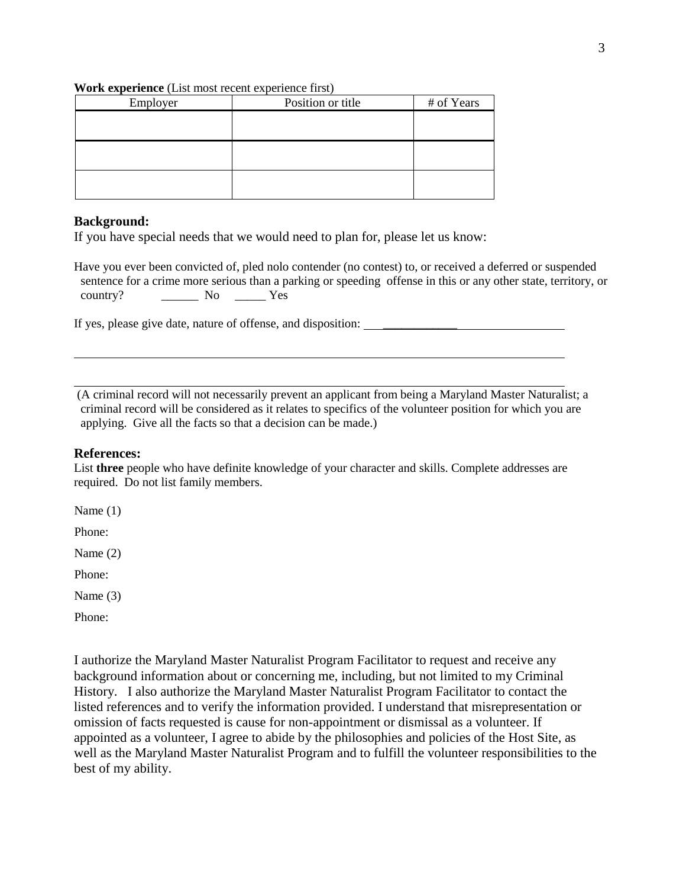## **Work experience** (List most recent experience first)

| Employer | Position or title | # of Years |
|----------|-------------------|------------|
|          |                   |            |
|          |                   |            |
|          |                   |            |
|          |                   |            |
|          |                   |            |
|          |                   |            |

## **Background:**

If you have special needs that we would need to plan for, please let us know:

Have you ever been convicted of, pled nolo contender (no contest) to, or received a deferred or suspended sentence for a crime more serious than a parking or speeding offense in this or any other state, territory, or country? \_\_\_\_\_\_ No \_\_\_\_\_ Yes

If yes, please give date, nature of offense, and disposition: \_\_\_\_\_\_\_\_\_\_\_\_

(A criminal record will not necessarily prevent an applicant from being a Maryland Master Naturalist; a criminal record will be considered as it relates to specifics of the volunteer position for which you are applying. Give all the facts so that a decision can be made.)

## **References:**

List **three** people who have definite knowledge of your character and skills. Complete addresses are required. Do not list family members.

Name (1)

Phone:

Name (2)

Phone:

Name (3)

Phone:

I authorize the Maryland Master Naturalist Program Facilitator to request and receive any background information about or concerning me, including, but not limited to my Criminal History. I also authorize the Maryland Master Naturalist Program Facilitator to contact the listed references and to verify the information provided. I understand that misrepresentation or omission of facts requested is cause for non-appointment or dismissal as a volunteer. If appointed as a volunteer, I agree to abide by the philosophies and policies of the Host Site, as well as the Maryland Master Naturalist Program and to fulfill the volunteer responsibilities to the best of my ability.